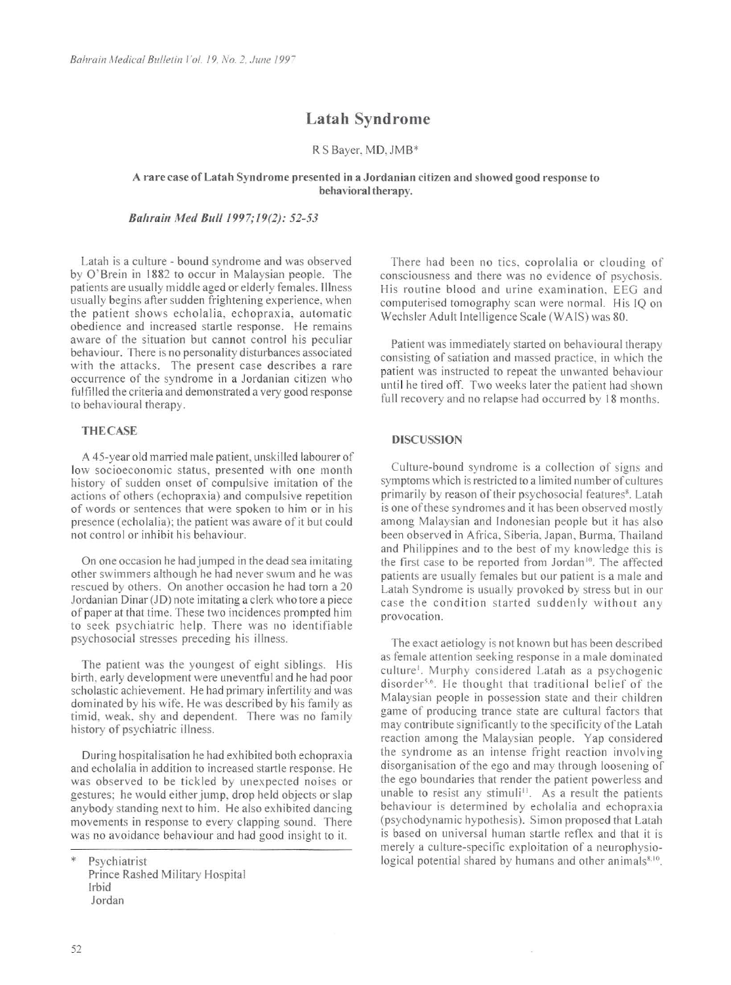*Bahrain Medical Bulletin* I *'ol. 19, No. 2, .June /99-*

# **Latah Syndrome**

R S Bayer, MD, JMB\*

A rare case of Latah Syndrome presented in a Jordanian citizen and showed good response to behavioral therapy.

*B{l/train Med Bull 1997; 19(2): 52-53* 

Latah is a culture - bound syndrome and was observed by O'Brein in I 882 to occur in Malaysian people. The patients are usually middle aged or elderly females. Illness usually begins after sudden frightening experience, when the patient shows echolalia, echopraxia, automatic obedience and increased startle response. He remains aware of the situation but cannot control his peculiar behaviour. There is no personality disturbances associated with the attacks. The present case describes a rare occurrence of the syndrome in a Jordanian citizen who fulfilled the criteria and demonstrated a very good response

A 45-year old married male patient, unskilled labourer of low socioeconomic status, presented with one month history of sudden onset of compulsive imitation of the actions of others (echopraxia) and compulsive repetition of words or sentences that were spoken to him or in his presence (echolalia); the patient was aware of it but could not control or inhibit his behaviour.

to behavioural therapy.

#### THE CASE

The patient was the youngest of eight siblings. His birth, early development were uneventful and he had poor scholastic achievement. He had primary infertility and was dominated by his wife. He was described by his family as timid, weak, shy and dependent. There was no family history of psychiatric illness.

On one occasion he had jumped in the dead sea imitating other swimmers although he had never swum and he was rescued by others. On another occasion he had torn a 20 Jordanian Dinar (JD) note imitating a clerk who tore a piece of paper at that time. These two incidences prompted him to seek psychiatric help. There was no identifiable psychosocial stresses preceding his illness.

The exact aetiology is not known but has been described as female attention seek ing response in a male dominated culture<sup>1</sup>. Murphy considered Latah as a psychogenic disorder<sup>5,6</sup>. He thought that traditional belief of the Malaysian people in possession state and their children game of producing trance state are cultural factors that may contribute significantly to the specificity of the Latah reaction among the Malaysian people. Yap considered the syndrome as an intense fright reaction involving disorganisation of the ego and may through loosening of the ego boundaries that render the patient powerless and unable to resist any stimuli<sup>11</sup>. As a result the patients behaviour is determined by echolalia and echopraxia (psychodynamic hypothesis). Simon proposed that Latah is based on universal human startle reflex and that it is merely a culture-specific exploitation of a neurophysiological potential shared by humans and other animals<sup>8,10</sup>.

During hospitalisation he had exhibited both echopraxia and echolalia in addition to increased startle response. He was observed to be tickled by unexpected noises or gestures; he would either jump, drop held objects or slap anybody standing next to him. He also exhibited dancing movements in response to every clapping sound. There was no avoidance behaviour and had good insight to it.

52

\* Psychiatrist Prince Rashed Military Hospital Irbid

Jordan

There had been no tics, coprolalia or clouding of consciousness and there was no evidence of psychosis. His routine blood and urine examination. EEG and computerised tomography scan were normal. His IQ on Wechsler Adult Intelligence Scale (WA IS) was 80.

Patient was immediately started on behavioural therapy consisting of satiation and massed practice, in which the patient was instructed to repeat the unwanted behaviour until he tired off. Two weeks later the patient had shown full recovery and no relapse had occurred by 18 months.

### DISCUSSION

Culture-bound syndrome is a collection of signs and symptoms which is restricted to a limited number of cultures primarily by reason of their psychosocial features<sup>8</sup>. Latah is one of these syndromes and it has been observed mostly among Malaysian and Indonesian people but it has also been observed in Africa, Siberia, Japan, Burma, Thailand and Philippines and to the best of my knowledge this is the first case to be reported from Jordan<sup>10</sup>. The affected patients are usually females but our patient is a male and Latah Syndrome is usually provoked by stress but in our case the condition started suddenly without any provocation.